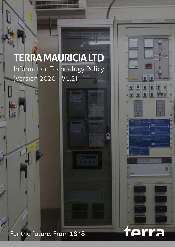# **TERRA MAURICIA LTD** Information Technology Policy (Version 2020 - V1.2)

**KID TI** 

terra

# For the future. From 1838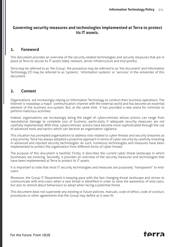#### **Governing security measures and technologies implemented at Terra to protect its IT assets.**

#### **1. Foreword**

This document provides an overview of the security-related technologies and security measures that are in place at Terra to secure its IT assets (data, network, server infrastructure and end-points).

Terra may be referred to as 'the Group', the procedure may be referred to as 'the document' and Information Technology (IT) may be referred to as 'systems', 'information systems' or 'services' in the remainder of this document.

#### **2. Context**

Organisations are increasingly relying on Information Technology to conduct their business operations. The Internet is nowadays a major communication channel with the external world and has become an essential element of the business eco-system. But, at the same time it has provided a new arena for criminals to perform malicious activities.

Indeed, organisations are increasingly being the target of cybercriminals whose actions can range from reputational damage to complete loss of business. particularly if adequate security measures are not carefully implemented. With time, cybercriminals' actions have become more sophisticated through the use of advanced tools and tactics which can deceive an organisation vigilance.

This situation has prompted organisations to address risks related to cyber-threats and security breaches as a top priority. Terra has always adopted a proactive approach in terms of cyber security by carefully investing in advanced and reputed security technologies. As such, numerous technologies and measures have been implemented to protect the organisation from different forms of cyber threats.

The purpose of this document is twofold. Firstly, it describes the current cyber threat landscape in which businesses are evolving. Secondly, it provides an overview of the security measures and technologies that have been implemented at Terra to protect its IT assets.

It is important to note that most IT security technologies and measures are purposely "transparent" to endusers.

Moreover, the Group IT Department is keeping pace with the fast changing threat landscape and strives to communicate with end-users when a new threat is identified in order to raise the awareness of end-users, but also to remind about behaviours to adopt when facing a potential threat.

This document does not supersede any existing or future policies, manuals, code of ethics, code of conduct, procedures or other agreements that the Group may define as it sees fit.

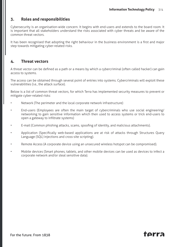#### **3. Roles and responsibilities**

Cybersecurity is an organisation-wide concern. It begins with end-users and extends to the board room. It is important that all stakeholders understand the risks associated with cyber threats and be aware of the common threat vectors.

It has been recognised that adopting the right behaviour in the business environment is a first and major step towards mitigating cyber-related risks.

#### **4. Threat vectors**

A threat vector can be defined as a path or a means by which a cybercriminal (often called hacker) can gain access to systems.

The access can be obtained through several point of entries into systems. Cybercriminals will exploit these vulnerabilities (i.e., the attack surface).

Below is a list of common threat vectors, for which Terra has implemented security measures to prevent or mitigate cyber-related risks:

- Network (The perimeter and the local corporate network infrastructure)
- End-users (Employees are often the main target of cybercriminals who use social engineering/ networking to gain sensitive information which then used to access systems or trick end-users to open a gateway to infiltrate systems)
- E-mail (Common phishing attacks, scams, spoofing of identity, and malicious attachments).
- Application (Specifically web-based applications are at risk of attacks through Structures Query Language (SQL) injections and cross-site scripting).
- Remote Access (A corporate device using an unsecured wireless hotspot can be compromised).
- Mobile devices (Smart phones, tablets, and other mobile devices can be used as devices to infect a corporate network and/or steal sensitive data).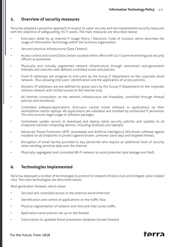#### **5. Overview of security measures**

Terra has adopted a proactive approach in respect to cyber security and has implemented security measures with the objective of safeguarding its IT assets. The main measures are described below:

- End-users abide by an internal IT Usage Policy / Electronic Code of Conduct, which describes the usage of Information Technology within the business organisation.
- Secured physical infrastructure (Data Centers).
- Access control and locked Data Centers located within office with 24/7 alarm monitoring and security officers at parameter.
- Physically and virtually segmented network infrastructure through centralised next-generation firewalls and switches with defined controlled zones and policies.
- Fixed IP addresses are assigned to end-users by the Group IT Department on the corporate wired network , thus allowing end-users' identification and the application of access policies.
- Dynamic IP addresses are pre-defined for guest users by the Group IT Department on the corporate wireless network with limited access to the Internet only.
- All Internet connections on the network infrastructure are firewalled, controlled through firewall policies and monitored.
- Controlled software/applications. End-users cannot install software or applications on their workstations and/or laptops. All applications are validated and installed by authorised IT personnel. This also ensures legal usage of software packages.
- Centralised update servers to download and deploy latest security patches and updates to all endpoints (remote computing devices, including desktops and laptops).
- Advanced Threat Protection (ATP). Automated and Artificial Intelligence (AI)-driven software agents installed on all endpoints to protect against known, unknown (zero-day) and targeted threats.
- Encryption of email facility provided to key personnel who require an additional level of security when sending sensitive data over the Internet.
- Physically segregated and controlled Wi-Fi network to avoid potential data leakage and theft.

#### **6. Technologies implemented**

Terra has deployed a number of technologies to protect its network infrastructure and mitigate cyber-related risks. The main technologies are described below:

Next-generation firewalls, which allow:

- Secured and controlled access to the external world (Internet)
- Identification and control of applications on the traffic flow.
- Physical segmentation of network and intra and inter zones traffic.
- Application-level policies set up on the firewall.
- Subscription to updated threat prevention database (known threats).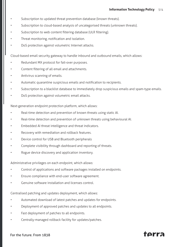- Subscription to updated threat prevention database (known threats).
- Subscription to cloud-based analysis of uncategorised threats (unknown threats).
- Subscription to web content filtering database (ULR filtering).
- Threat monitoring, notification and isolation.
- DoS protection against volumetric Internet attacks.

Cloud-based email security gateway to handle inbound and outbound emails, which allows:

- Redundant MX protocol for fail-over purposes.
- Content filtering of all email and attachments.
- Antivirus scanning of emails.
- Automatic quarantine suspicious emails and notification to recipients.
- Subscription to a blacklist database to immediately drop suspicious emails and spam-type emails.
- DoS protection against volumetric email attacks.

Next-generation endpoint protection platform, which allows:

- Real-time detection and prevention of known threats using static AI.
- Real-time detection and prevention of unknown threats using behavioural AI.
- Embedded AI threat intelligence and threat indicators.
- Recovery with remediation and rollback features.
- Device control for USB and Bluetooth peripherals
- Complete visibility through dashboard and reporting of threats.
- Rogue device discovery and application inventory.

Administrative privileges on each endpoint, which allows:

- Control of applications and software packages installed on endpoints.
- Ensure compliance with end-user software agreement.
- Genuine software installation and licenses control.

Centralised patching and updates deployment, which allows:

- Automated download of latest patches and updates for endpoints.
- Deployment of approved patches and updates to all endpoints.
- Fast deployment of patches to all endpoints.
- Centrally-managed rollback facility for updates/patches.

## tarra